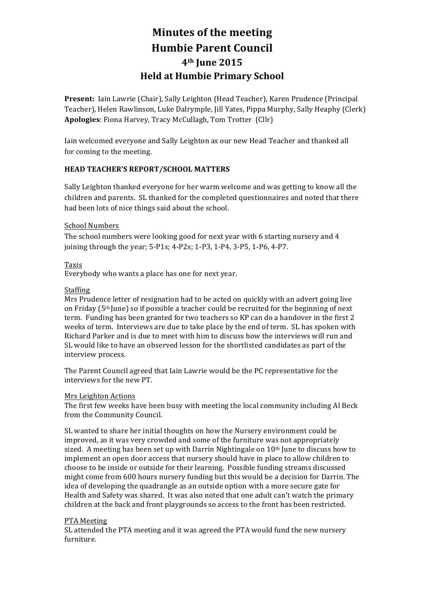# **Minutes of the meeting Humbie Parent Council 4th June 2015 Held at Humbie Primary School**

**Present:** Iain Lawrie (Chair), Sally Leighton (Head Teacher), Karen Prudence (Principal Teacher), Helen Rawlinson, Luke Dalrymple, Jill Yates, Pippa Murphy, Sally Heaphy (Clerk) Apologies: Fiona Harvey, Tracy McCullagh, Tom Trotter (Cllr)

Iain welcomed everyone and Sally Leighton as our new Head Teacher and thanked all for coming to the meeting.

# **HEAD TEACHER'S REPORT/SCHOOL MATTERS**

Sally Leighton thanked everyone for her warm welcome and was getting to know all the children and parents. SL thanked for the completed questionnaires and noted that there had been lots of nice things said about the school.

## School Numbers

The school numbers were looking good for next year with  $6$  starting nursery and  $4$ joining through the year;  $5-P1s$ ;  $4-P2s$ ;  $1-P3$ ,  $1-P4$ ,  $3-P5$ ,  $1-P6$ ,  $4-P7$ .

## Taxis

Everybody who wants a place has one for next year.

#### Staffing

Mrs Prudence letter of resignation had to be acted on quickly with an advert going live on Friday  $(5<sup>th</sup>$  June) so if possible a teacher could be recruited for the beginning of next term. Funding has been granted for two teachers so KP can do a handover in the first 2 weeks of term. Interviews are due to take place by the end of term. SL has spoken with Richard Parker and is due to meet with him to discuss how the interviews will run and SL would like to have an observed lesson for the shortlisted candidates as part of the interview process.

The Parent Council agreed that Iain Lawrie would be the PC representative for the interviews for the new PT.

## Mrs Leighton Actions

The first few weeks have been busy with meeting the local community including Al Beck from the Community Council.

SL wanted to share her initial thoughts on how the Nursery environment could be improved, as it was very crowded and some of the furniture was not appropriately sized. A meeting has been set up with Darrin Nightingale on  $10<sup>th</sup>$  June to discuss how to implement an open door access that nursery should have in place to allow children to choose to be inside or outside for their learning. Possible funding streams discussed might come from 600 hours nursery funding but this would be a decision for Darrin. The idea of developing the quadrangle as an outside option with a more secure gate for Health and Safety was shared. It was also noted that one adult can't watch the primary children at the back and front playgrounds so access to the front has been restricted.

## PTA Meeting

SL attended the PTA meeting and it was agreed the PTA would fund the new nursery furniture.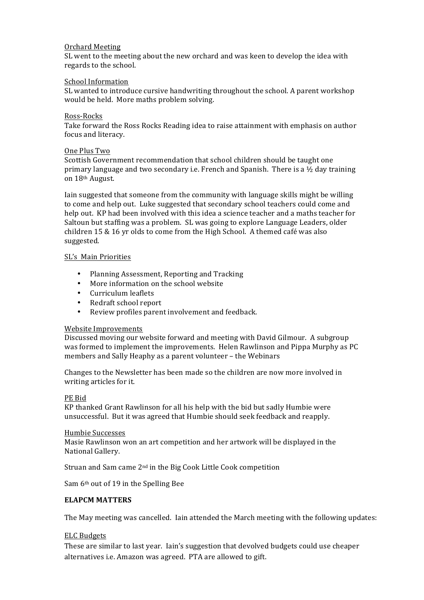#### Orchard Meeting

SL went to the meeting about the new orchard and was keen to develop the idea with regards to the school.

#### School Information

SL wanted to introduce cursive handwriting throughout the school. A parent workshop would be held. More maths problem solving.

#### Ross-Rocks

Take forward the Ross Rocks Reading idea to raise attainment with emphasis on author focus and literacy.

#### One Plus Two

Scottish Government recommendation that school children should be taught one primary language and two secondary i.e. French and Spanish. There is a  $\frac{1}{2}$  day training on 18<sup>th</sup> August.

Iain suggested that someone from the community with language skills might be willing to come and help out. Luke suggested that secondary school teachers could come and help out. KP had been involved with this idea a science teacher and a maths teacher for Saltoun but staffing was a problem. SL was going to explore Language Leaders, older children  $15 \& 16$  yr olds to come from the High School. A themed café was also suggested.

#### SL's Main Priorities

- Planning Assessment, Reporting and Tracking
- More information on the school website
- Curriculum leaflets
- Redraft school report
- Review profiles parent involvement and feedback.

## Website Improvements

Discussed moving our website forward and meeting with David Gilmour. A subgroup was formed to implement the improvements. Helen Rawlinson and Pippa Murphy as PC members and Sally Heaphy as a parent volunteer – the Webinars

Changes to the Newsletter has been made so the children are now more involved in writing articles for it.

## PE Bid

KP thanked Grant Rawlinson for all his help with the bid but sadly Humbie were unsuccessful. But it was agreed that Humbie should seek feedback and reapply.

#### Humbie Successes

Masie Rawlinson won an art competition and her artwork will be displayed in the National Gallery.

Struan and Sam came 2<sup>nd</sup> in the Big Cook Little Cook competition

Sam 6<sup>th</sup> out of 19 in the Spelling Bee

## **ELAPCM MATTERS**

The May meeting was cancelled. Iain attended the March meeting with the following updates:

## ELC Budgets

These are similar to last year. Iain's suggestion that devolved budgets could use cheaper alternatives i.e. Amazon was agreed. PTA are allowed to gift.